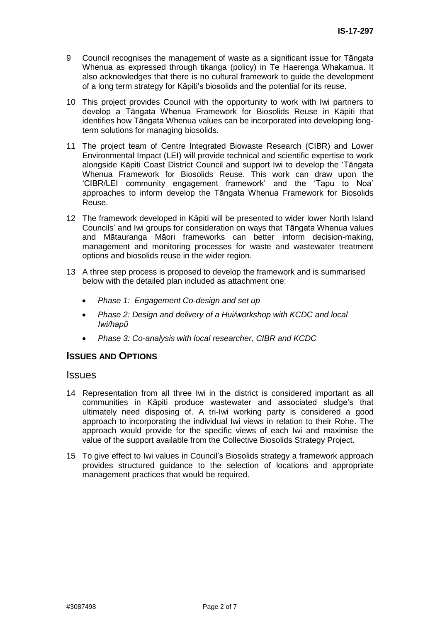- 9 Council recognises the management of waste as a significant issue for Tāngata Whenua as expressed through tikanga (policy) in Te Haerenga Whakamua. It also acknowledges that there is no cultural framework to guide the development of a long term strategy for Kāpiti's biosolids and the potential for its reuse.
- 10 This project provides Council with the opportunity to work with Iwi partners to develop a Tāngata Whenua Framework for Biosolids Reuse in Kāpiti that identifies how Tāngata Whenua values can be incorporated into developing longterm solutions for managing biosolids.
- 11 The project team of Centre Integrated Biowaste Research (CIBR) and Lower Environmental Impact (LEI) will provide technical and scientific expertise to work alongside Kāpiti Coast District Council and support Iwi to develop the 'Tāngata Whenua Framework for Biosolids Reuse. This work can draw upon the 'CIBR/LEI community engagement framework' and the 'Tapu to Noa' approaches to inform develop the Tāngata Whenua Framework for Biosolids Reuse.
- 12 The framework developed in Kāpiti will be presented to wider lower North Island Councils' and Iwi groups for consideration on ways that Tāngata Whenua values and Mātauranga Māori frameworks can better inform decision-making, management and monitoring processes for waste and wastewater treatment options and biosolids reuse in the wider region.
- 13 A three step process is proposed to develop the framework and is summarised below with the detailed plan included as attachment one:
	- *Phase 1: Engagement Co-design and set up*
	- *Phase 2: Design and delivery of a Hui/workshop with KCDC and local Iwi/hapū*
	- *Phase 3: Co-analysis with local researcher, CIBR and KCDC*

### **ISSUES AND OPTIONS**

### **Issues**

- 14 Representation from all three Iwi in the district is considered important as all communities in Kāpiti produce wastewater and associated sludge's that ultimately need disposing of. A tri-Iwi working party is considered a good approach to incorporating the individual Iwi views in relation to their Rohe. The approach would provide for the specific views of each Iwi and maximise the value of the support available from the Collective Biosolids Strategy Project.
- 15 To give effect to Iwi values in Council's Biosolids strategy a framework approach provides structured guidance to the selection of locations and appropriate management practices that would be required.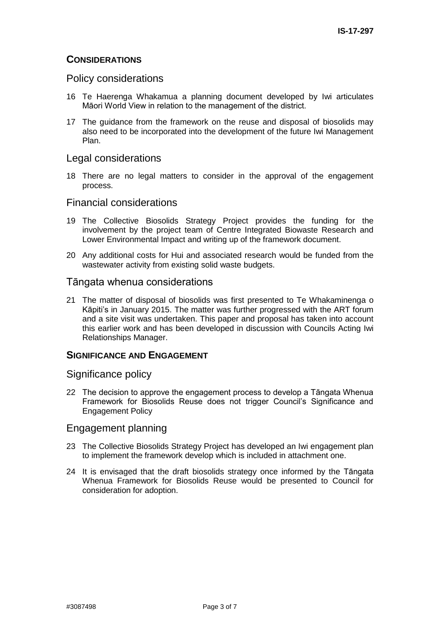### **CONSIDERATIONS**

### Policy considerations

- 16 Te Haerenga Whakamua a planning document developed by Iwi articulates Māori World View in relation to the management of the district.
- 17 The guidance from the framework on the reuse and disposal of biosolids may also need to be incorporated into the development of the future Iwi Management Plan.

### Legal considerations

18 There are no legal matters to consider in the approval of the engagement process.

### Financial considerations

- 19 The Collective Biosolids Strategy Project provides the funding for the involvement by the project team of Centre Integrated Biowaste Research and Lower Environmental Impact and writing up of the framework document.
- 20 Any additional costs for Hui and associated research would be funded from the wastewater activity from existing solid waste budgets.

### Tāngata whenua considerations

21 The matter of disposal of biosolids was first presented to Te Whakaminenga o Kāpiti's in January 2015. The matter was further progressed with the ART forum and a site visit was undertaken. This paper and proposal has taken into account this earlier work and has been developed in discussion with Councils Acting Iwi Relationships Manager.

### **SIGNIFICANCE AND ENGAGEMENT**

### Significance policy

22 The decision to approve the engagement process to develop a Tāngata Whenua Framework for Biosolids Reuse does not trigger Council's Significance and Engagement Policy

### Engagement planning

- 23 The Collective Biosolids Strategy Project has developed an Iwi engagement plan to implement the framework develop which is included in attachment one.
- 24 It is envisaged that the draft biosolids strategy once informed by the Tāngata Whenua Framework for Biosolids Reuse would be presented to Council for consideration for adoption.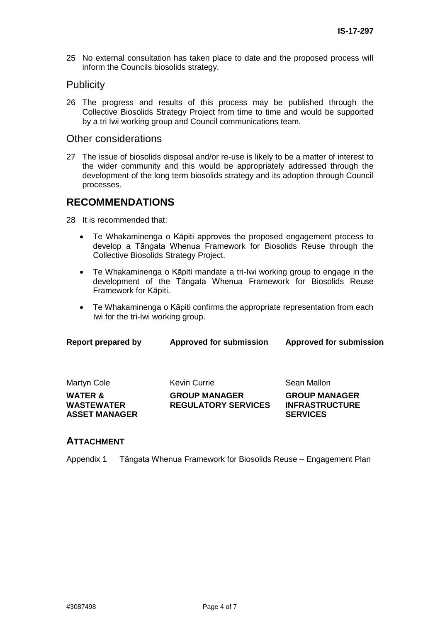25 No external consultation has taken place to date and the proposed process will inform the Councils biosolids strategy.

### **Publicity**

26 The progress and results of this process may be published through the Collective Biosolids Strategy Project from time to time and would be supported by a tri Iwi working group and Council communications team.

### Other considerations

27 The issue of biosolids disposal and/or re-use is likely to be a matter of interest to the wider community and this would be appropriately addressed through the development of the long term biosolids strategy and its adoption through Council processes.

## **RECOMMENDATIONS**

28 It is recommended that:

- Te Whakaminenga o Kāpiti approves the proposed engagement process to develop a Tāngata Whenua Framework for Biosolids Reuse through the Collective Biosolids Strategy Project.
- Te Whakaminenga o Kāpiti mandate a tri-Iwi working group to engage in the development of the Tāngata Whenua Framework for Biosolids Reuse Framework for Kāpiti.
- Te Whakaminenga o Kāpiti confirms the appropriate representation from each Iwi for the tri-Iwi working group.

| Report prepared by                                              | <b>Approved for submission</b>                     | <b>Approved for submission</b>                                   |  |
|-----------------------------------------------------------------|----------------------------------------------------|------------------------------------------------------------------|--|
| Martyn Cole                                                     | <b>Kevin Currie</b>                                | Sean Mallon                                                      |  |
| <b>WATER &amp;</b><br><b>WASTEWATER</b><br><b>ASSET MANAGER</b> | <b>GROUP MANAGER</b><br><b>REGULATORY SERVICES</b> | <b>GROUP MANAGER</b><br><b>INFRASTRUCTURE</b><br><b>SERVICES</b> |  |

### **ATTACHMENT**

Appendix 1 Tāngata Whenua Framework for Biosolids Reuse – Engagement Plan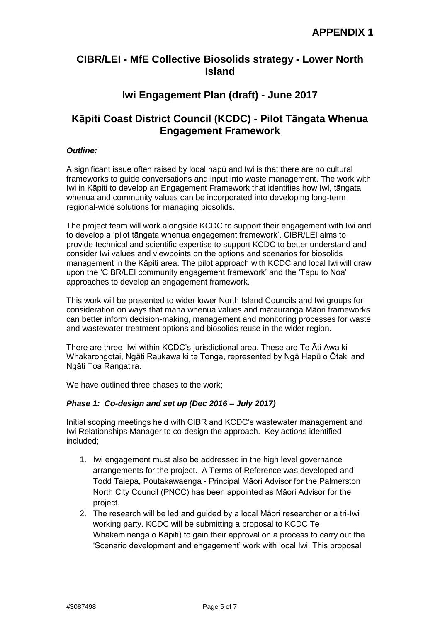

# **CIBR/LEI - MfE Collective Biosolids strategy - Lower North Island**

# **Iwi Engagement Plan (draft) - June 2017**

# **Kāpiti Coast District Council (KCDC) - Pilot Tāngata Whenua Engagement Framework**

### *Outline:*

A significant issue often raised by local hapū and Iwi is that there are no cultural frameworks to guide conversations and input into waste management. The work with Iwi in Kāpiti to develop an Engagement Framework that identifies how Iwi, tāngata whenua and community values can be incorporated into developing long-term regional-wide solutions for managing biosolids.

The project team will work alongside KCDC to support their engagement with Iwi and to develop a 'pilot tāngata whenua engagement framework'. CIBR/LEI aims to provide technical and scientific expertise to support KCDC to better understand and consider Iwi values and viewpoints on the options and scenarios for biosolids management in the Kāpiti area. The pilot approach with KCDC and local Iwi will draw upon the 'CIBR/LEI community engagement framework' and the 'Tapu to Noa' approaches to develop an engagement framework.

This work will be presented to wider lower North Island Councils and Iwi groups for consideration on ways that mana whenua values and mātauranga Māori frameworks can better inform decision-making, management and monitoring processes for waste and wastewater treatment options and biosolids reuse in the wider region.

There are three Iwi within KCDC's jurisdictional area. These are Te Āti Awa ki Whakarongotai, Ngāti Raukawa ki te Tonga, represented by Ngā Hapū o Ōtaki and Ngāti Toa Rangatira.

We have outlined three phases to the work;

### *Phase 1: Co-design and set up (Dec 2016 – July 2017)*

Initial scoping meetings held with CIBR and KCDC's wastewater management and Iwi Relationships Manager to co-design the approach. Key actions identified included;

- 1. Iwi engagement must also be addressed in the high level governance arrangements for the project. A Terms of Reference was developed and Todd Taiepa, Poutakawaenga - Principal Māori Advisor for the Palmerston North City Council (PNCC) has been appointed as Māori Advisor for the project.
- 2. The research will be led and guided by a local Māori researcher or a tri-Iwi working party. KCDC will be submitting a proposal to KCDC Te Whakaminenga o Kāpiti) to gain their approval on a process to carry out the 'Scenario development and engagement' work with local Iwi. This proposal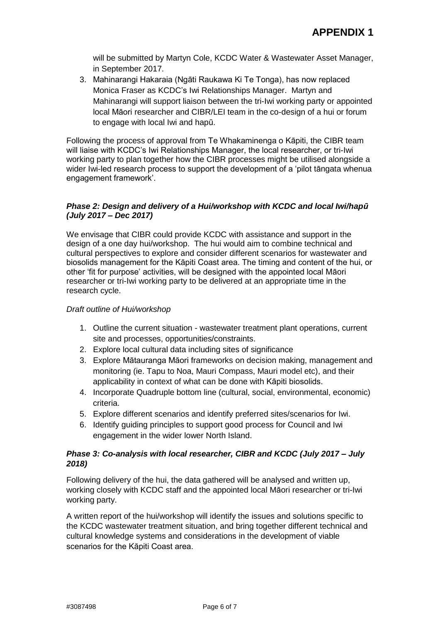will be submitted by Martyn Cole, KCDC Water & Wastewater Asset Manager, in September 2017.

3. Mahinarangi Hakaraia (Ngāti Raukawa Ki Te Tonga), has now replaced Monica Fraser as KCDC's Iwi Relationships Manager. Martyn and Mahinarangi will support liaison between the tri-Iwi working party or appointed local Māori researcher and CIBR/LEI team in the co-design of a hui or forum to engage with local Iwi and hapū.

Following the process of approval from Te Whakaminenga o Kāpiti, the CIBR team will liaise with KCDC's Iwi Relationships Manager, the local researcher, or tri-Iwi working party to plan together how the CIBR processes might be utilised alongside a wider Iwi-led research process to support the development of a 'pilot tāngata whenua engagement framework'.

### *Phase 2: Design and delivery of a Hui/workshop with KCDC and local Iwi/hapū (July 2017 – Dec 2017)*

We envisage that CIBR could provide KCDC with assistance and support in the design of a one day hui/workshop. The hui would aim to combine technical and cultural perspectives to explore and consider different scenarios for wastewater and biosolids management for the Kāpiti Coast area. The timing and content of the hui, or other 'fit for purpose' activities, will be designed with the appointed local Māori researcher or tri-Iwi working party to be delivered at an appropriate time in the research cycle.

### *Draft outline of Hui/workshop*

- 1. Outline the current situation wastewater treatment plant operations, current site and processes, opportunities/constraints.
- 2. Explore local cultural data including sites of significance
- 3. Explore Mātauranga Māori frameworks on decision making, management and monitoring (ie. Tapu to Noa, Mauri Compass, Mauri model etc), and their applicability in context of what can be done with Kāpiti biosolids.
- 4. Incorporate Quadruple bottom line (cultural, social, environmental, economic) criteria.
- 5. Explore different scenarios and identify preferred sites/scenarios for Iwi.
- 6. Identify guiding principles to support good process for Council and Iwi engagement in the wider lower North Island.

### *Phase 3: Co-analysis with local researcher, CIBR and KCDC (July 2017 – July 2018)*

Following delivery of the hui, the data gathered will be analysed and written up, working closely with KCDC staff and the appointed local Māori researcher or tri-Iwi working party.

A written report of the hui/workshop will identify the issues and solutions specific to the KCDC wastewater treatment situation, and bring together different technical and cultural knowledge systems and considerations in the development of viable scenarios for the Kāpiti Coast area.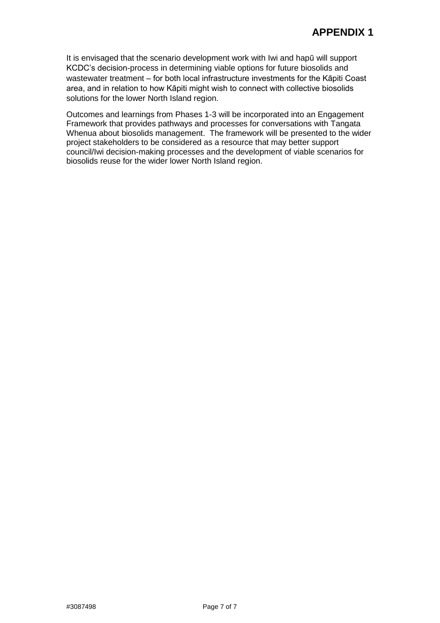It is envisaged that the scenario development work with Iwi and hapū will support KCDC's decision-process in determining viable options for future biosolids and wastewater treatment – for both local infrastructure investments for the Kāpiti Coast area, and in relation to how Kāpiti might wish to connect with collective biosolids solutions for the lower North Island region.

Outcomes and learnings from Phases 1-3 will be incorporated into an Engagement Framework that provides pathways and processes for conversations with Tangata Whenua about biosolids management. The framework will be presented to the wider project stakeholders to be considered as a resource that may better support council/Iwi decision-making processes and the development of viable scenarios for biosolids reuse for the wider lower North Island region.